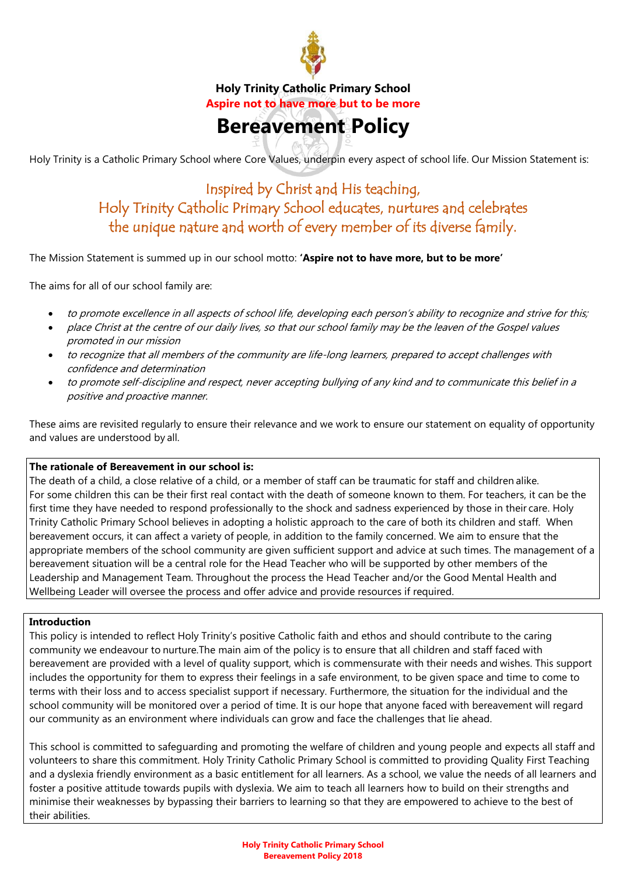

**Holy Trinity Catholic Primary School Aspire not to have more but to be more** 

# **Bereavement Policy**

Holy Trinity is a Catholic Primary School where Core Values, underpin every aspect of school life. Our Mission Statement is:

# Inspired by Christ and His teaching, Holy Trinity Catholic Primary School educates, nurtures and celebrates the unique nature and worth of every member of its diverse family.

The Mission Statement is summed up in our school motto: **'Aspire not to have more, but to be more'**

The aims for all of our school family are:

- to promote excellence in all aspects of school life, developing each person's ability to recognize and strive for this;
- place Christ at the centre of our daily lives, so that our school family may be the leaven of the Gospel values promoted in our mission
- to recognize that all members of the community are life-long learners, prepared to accept challenges with confidence and determination
- to promote self-discipline and respect, never accepting bullying of any kind and to communicate this belief in a positive and proactive manner.

These aims are revisited regularly to ensure their relevance and we work to ensure our statement on equality of opportunity and values are understood by all.

#### **The rationale of Bereavement in our school is:**

The death of a child, a close relative of a child, or a member of staff can be traumatic for staff and children alike. For some children this can be their first real contact with the death of someone known to them. For teachers, it can be the first time they have needed to respond professionally to the shock and sadness experienced by those in their care. Holy Trinity Catholic Primary School believes in adopting a holistic approach to the care of both its children and staff. When bereavement occurs, it can affect a variety of people, in addition to the family concerned. We aim to ensure that the appropriate members of the school community are given sufficient support and advice at such times. The management of a bereavement situation will be a central role for the Head Teacher who will be supported by other members of the Leadership and Management Team. Throughout the process the Head Teacher and/or the Good Mental Health and Wellbeing Leader will oversee the process and offer advice and provide resources if required.

#### **Introduction**

This policy is intended to reflect Holy Trinity's positive Catholic faith and ethos and should contribute to the caring community we endeavour to nurture.The main aim of the policy is to ensure that all children and staff faced with bereavement are provided with a level of quality support, which is commensurate with their needs and wishes. This support includes the opportunity for them to express their feelings in a safe environment, to be given space and time to come to terms with their loss and to access specialist support if necessary. Furthermore, the situation for the individual and the school community will be monitored over a period of time. It is our hope that anyone faced with bereavement will regard our community as an environment where individuals can grow and face the challenges that lie ahead.

This school is committed to safeguarding and promoting the welfare of children and young people and expects all staff and volunteers to share this commitment. Holy Trinity Catholic Primary School is committed to providing Quality First Teaching and a dyslexia friendly environment as a basic entitlement for all learners. As a school, we value the needs of all learners and foster a positive attitude towards pupils with dyslexia. We aim to teach all learners how to build on their strengths and minimise their weaknesses by bypassing their barriers to learning so that they are empowered to achieve to the best of their abilities.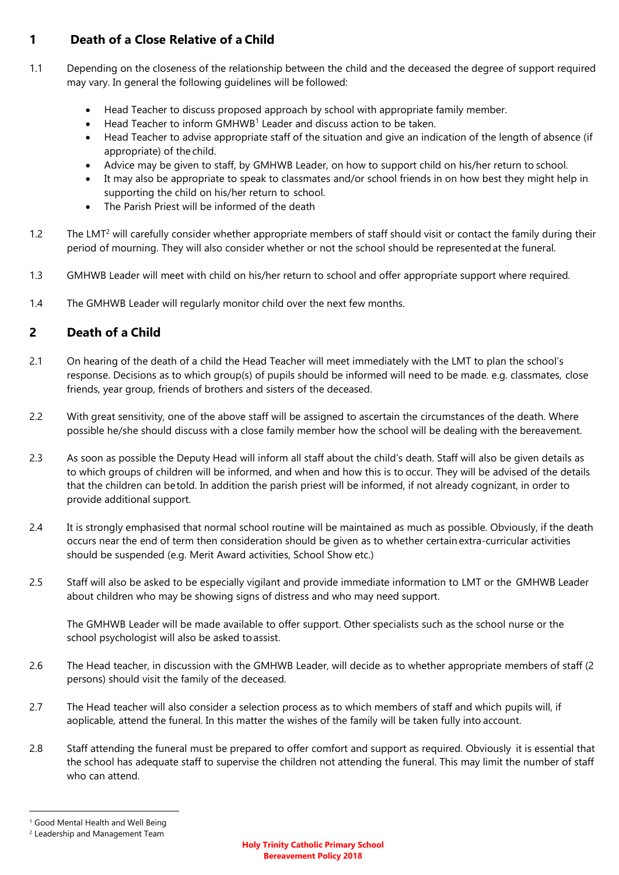### **1 Death of a Close Relative of a Child**

- 1.1 Depending on the closeness of the relationship between the child and the deceased the degree of support required may vary. In general the following guidelines will be followed:
	- Head Teacher to discuss proposed approach by school with appropriate family member.
	- $\bullet$  Head Teacher to inform GMHWB<sup>1</sup> Leader and discuss action to be taken.
	- Head Teacher to advise appropriate staff of the situation and give an indication of the length of absence (if appropriate) of the child.
	- Advice may be given to staff, by GMHWB Leader, on how to support child on his/her return to school.
	- It may also be appropriate to speak to classmates and/or school friends in on how best they might help in supporting the child on his/her return to school.
	- The Parish Priest will be informed of the death
- 1.2 The LMT<sup>2</sup> will carefully consider whether appropriate members of staff should visit or contact the family during their period of mourning. They will also consider whether or not the school should be represented at the funeral.
- 1.3 GMHWB Leader will meet with child on his/her return to school and offer appropriate support where required.
- 1.4 The GMHWB Leader will regularly monitor child over the next few months.

## **2 Death of a Child**

- 2.1 On hearing of the death of a child the Head Teacher will meet immediately with the LMT to plan the school's response. Decisions as to which group(s) of pupils should be informed will need to be made. e.g. classmates, close friends, year group, friends of brothers and sisters of the deceased.
- 2.2 With great sensitivity, one of the above staff will be assigned to ascertain the circumstances of the death. Where possible he/she should discuss with a close family member how the school will be dealing with the bereavement.
- 2.3 As soon as possible the Deputy Head will inform all staff about the child's death. Staff will also be given details as to which groups of children will be informed, and when and how this is to occur. They will be advised of the details that the children can be told. In addition the parish priest will be informed, if not already cognizant, in order to provide additional support.
- 2.4 It is strongly emphasised that normal school routine will be maintained as much as possible. Obviously, if the death occurs near the end of term then consideration should be given as to whether certain extra-curricular activities should be suspended (e.g. Merit Award activities, School Show etc.)
- 2.5 Staff will also be asked to be especially vigilant and provide immediate information to LMT or the GMHWB Leader about children who may be showing signs of distress and who may need support.

The GMHWB Leader will be made available to offer support. Other specialists such as the school nurse or the school psychologist will also be asked to assist.

- 2.6 The Head teacher, in discussion with the GMHWB Leader, will decide as to whether appropriate members of staff (2 persons) should visit the family of the deceased.
- 2.7 The Head teacher will also consider a selection process as to which members of staff and which pupils will, if aoplicable, attend the funeral. In this matter the wishes of the family will be taken fully into account.
- 2.8 Staff attending the funeral must be prepared to offer comfort and support as required. Obviously it is essential that the school has adequate staff to supervise the children not attending the funeral. This may limit the number of staff who can attend.

l

<sup>1</sup> Good Mental Health and Well Being

<sup>2</sup> Leadership and Management Team